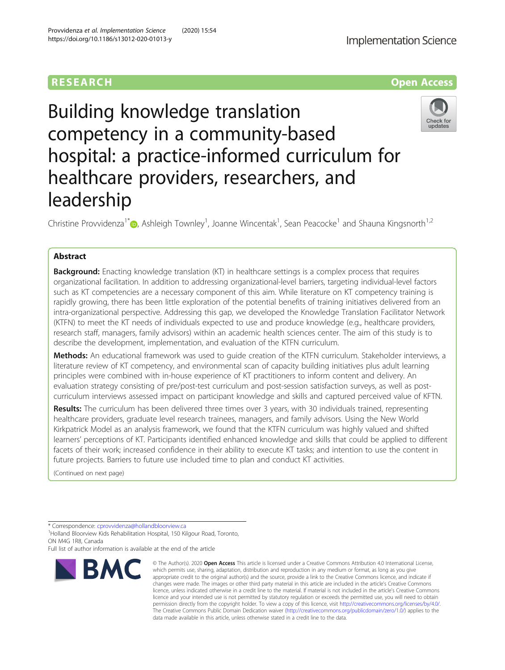# Building knowledge translation competency in a community-based hospital: a practice-informed curriculum for healthcare providers, researchers, and leadership

Christine Provvidenza<sup>1[\\*](http://orcid.org/0000-0002-1741-239X)</sup> $\bullet$ , Ashleigh Townley<sup>1</sup>, Joanne Wincentak<sup>1</sup>, Sean Peacocke<sup>1</sup> and Shauna Kingsnorth<sup>1,2</sup>

# Abstract

**Background:** Enacting knowledge translation (KT) in healthcare settings is a complex process that requires organizational facilitation. In addition to addressing organizational-level barriers, targeting individual-level factors such as KT competencies are a necessary component of this aim. While literature on KT competency training is rapidly growing, there has been little exploration of the potential benefits of training initiatives delivered from an intra-organizational perspective. Addressing this gap, we developed the Knowledge Translation Facilitator Network (KTFN) to meet the KT needs of individuals expected to use and produce knowledge (e.g., healthcare providers, research staff, managers, family advisors) within an academic health sciences center. The aim of this study is to describe the development, implementation, and evaluation of the KTFN curriculum.

Methods: An educational framework was used to quide creation of the KTFN curriculum. Stakeholder interviews, a literature review of KT competency, and environmental scan of capacity building initiatives plus adult learning principles were combined with in-house experience of KT practitioners to inform content and delivery. An evaluation strategy consisting of pre/post-test curriculum and post-session satisfaction surveys, as well as postcurriculum interviews assessed impact on participant knowledge and skills and captured perceived value of KFTN.

Results: The curriculum has been delivered three times over 3 years, with 30 individuals trained, representing healthcare providers, graduate level research trainees, managers, and family advisors. Using the New World Kirkpatrick Model as an analysis framework, we found that the KTFN curriculum was highly valued and shifted learners' perceptions of KT. Participants identified enhanced knowledge and skills that could be applied to different facets of their work; increased confidence in their ability to execute KT tasks; and intention to use the content in future projects. Barriers to future use included time to plan and conduct KT activities.

(Continued on next page)

\* Correspondence: [cprovvidenza@hollandbloorview.ca](mailto:cprovvidenza@hollandbloorview.ca) <sup>1</sup>

<sup>1</sup>Holland Bloorview Kids Rehabilitation Hospital, 150 Kilgour Road, Toronto, ON M4G 1R8, Canada

Full list of author information is available at the end of the article

#### © The Author(s), 2020 **Open Access** This article is licensed under a Creative Commons Attribution 4.0 International License, which permits use, sharing, adaptation, distribution and reproduction in any medium or format, as long as you give appropriate credit to the original author(s) and the source, provide a link to the Creative Commons licence, and indicate if changes were made. The images or other third party material in this article are included in the article's Creative Commons licence, unless indicated otherwise in a credit line to the material. If material is not included in the article's Creative Commons licence and your intended use is not permitted by statutory regulation or exceeds the permitted use, you will need to obtain permission directly from the copyright holder. To view a copy of this licence, visit [http://creativecommons.org/licenses/by/4.0/.](http://creativecommons.org/licenses/by/4.0/) The Creative Commons Public Domain Dedication waiver [\(http://creativecommons.org/publicdomain/zero/1.0/](http://creativecommons.org/publicdomain/zero/1.0/)) applies to the data made available in this article, unless otherwise stated in a credit line to the data.

Provvidenza et al. Implementation Science (2020) 15:54 https://doi.org/10.1186/s13012-020-01013-y





RESEARCH **RESEARCH CONSUMING ACCESS**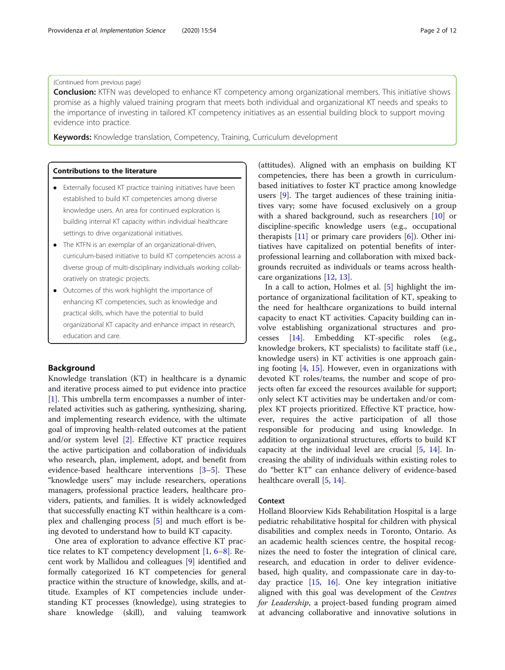# (Continued from previous page)

**Conclusion:** KTFN was developed to enhance KT competency among organizational members. This initiative shows promise as a highly valued training program that meets both individual and organizational KT needs and speaks to the importance of investing in tailored KT competency initiatives as an essential building block to support moving evidence into practice.

Keywords: Knowledge translation, Competency, Training, Curriculum development

# Contributions to the literature

- Externally focused KT practice training initiatives have been established to build KT competencies among diverse knowledge users. An area for continued exploration is building internal KT capacity within individual healthcare settings to drive organizational initiatives.
- The KTFN is an exemplar of an organizational-driven, curriculum-based initiative to build KT competencies across a diverse group of multi-disciplinary individuals working collaboratively on strategic projects.
- Outcomes of this work highlight the importance of enhancing KT competencies, such as knowledge and practical skills, which have the potential to build organizational KT capacity and enhance impact in research, education and care.

# Background

Knowledge translation (KT) in healthcare is a dynamic and iterative process aimed to put evidence into practice [[1\]](#page-11-0). This umbrella term encompasses a number of interrelated activities such as gathering, synthesizing, sharing, and implementing research evidence, with the ultimate goal of improving health-related outcomes at the patient and/or system level [[2\]](#page-11-0). Effective KT practice requires the active participation and collaboration of individuals who research, plan, implement, adopt, and benefit from evidence-based healthcare interventions [\[3](#page-11-0)–[5\]](#page-11-0). These "knowledge users" may include researchers, operations managers, professional practice leaders, healthcare providers, patients, and families. It is widely acknowledged that successfully enacting KT within healthcare is a complex and challenging process [[5\]](#page-11-0) and much effort is being devoted to understand how to build KT capacity.

One area of exploration to advance effective KT practice relates to KT competency development [\[1](#page-11-0), [6](#page-11-0)–[8](#page-11-0)]. Recent work by Mallidou and colleagues [[9\]](#page-11-0) identified and formally categorized 16 KT competencies for general practice within the structure of knowledge, skills, and attitude. Examples of KT competencies include understanding KT processes (knowledge), using strategies to share knowledge (skill), and valuing teamwork

(attitudes). Aligned with an emphasis on building KT competencies, there has been a growth in curriculumbased initiatives to foster KT practice among knowledge users [\[9](#page-11-0)]. The target audiences of these training initiatives vary; some have focused exclusively on a group with a shared background, such as researchers [\[10](#page-11-0)] or discipline-specific knowledge users (e.g., occupational therapists  $[11]$  $[11]$  or primary care providers  $[6]$ ). Other initiatives have capitalized on potential benefits of interprofessional learning and collaboration with mixed backgrounds recruited as individuals or teams across healthcare organizations [\[12](#page-11-0), [13](#page-11-0)].

In a call to action, Holmes et al. [\[5\]](#page-11-0) highlight the importance of organizational facilitation of KT, speaking to the need for healthcare organizations to build internal capacity to enact KT activities. Capacity building can involve establishing organizational structures and processes [\[14](#page-11-0)]. Embedding KT-specific roles (e.g., knowledge brokers, KT specialists) to facilitate staff (i.e., knowledge users) in KT activities is one approach gaining footing [[4,](#page-11-0) [15](#page-11-0)]. However, even in organizations with devoted KT roles/teams, the number and scope of projects often far exceed the resources available for support; only select KT activities may be undertaken and/or complex KT projects prioritized. Effective KT practice, however, requires the active participation of all those responsible for producing and using knowledge. In addition to organizational structures, efforts to build KT capacity at the individual level are crucial [\[5](#page-11-0), [14](#page-11-0)]. Increasing the ability of individuals within existing roles to do "better KT" can enhance delivery of evidence-based healthcare overall [[5,](#page-11-0) [14\]](#page-11-0).

#### Context

Holland Bloorview Kids Rehabilitation Hospital is a large pediatric rehabilitative hospital for children with physical disabilities and complex needs in Toronto, Ontario. As an academic health sciences centre, the hospital recognizes the need to foster the integration of clinical care, research, and education in order to deliver evidencebased, high quality, and compassionate care in day-today practice [\[15](#page-11-0), [16\]](#page-11-0). One key integration initiative aligned with this goal was development of the Centres for Leadership, a project-based funding program aimed at advancing collaborative and innovative solutions in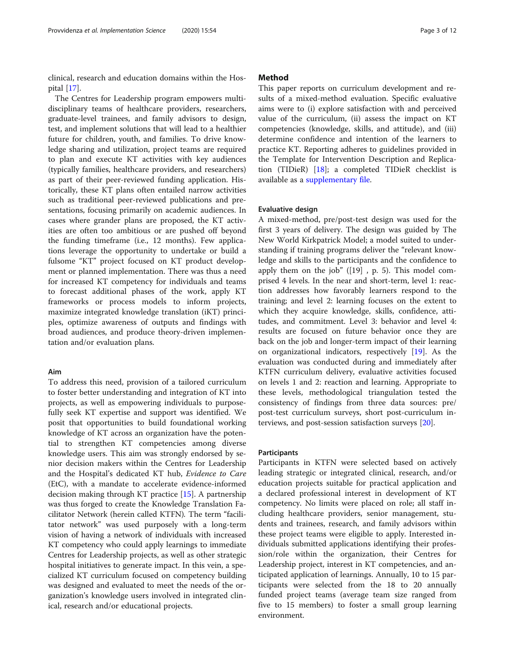clinical, research and education domains within the Hospital [[17\]](#page-11-0).

The Centres for Leadership program empowers multidisciplinary teams of healthcare providers, researchers, graduate-level trainees, and family advisors to design, test, and implement solutions that will lead to a healthier future for children, youth, and families. To drive knowledge sharing and utilization, project teams are required to plan and execute KT activities with key audiences (typically families, healthcare providers, and researchers) as part of their peer-reviewed funding application. Historically, these KT plans often entailed narrow activities such as traditional peer-reviewed publications and presentations, focusing primarily on academic audiences. In cases where grander plans are proposed, the KT activities are often too ambitious or are pushed off beyond the funding timeframe (i.e., 12 months). Few applications leverage the opportunity to undertake or build a fulsome "KT" project focused on KT product development or planned implementation. There was thus a need for increased KT competency for individuals and teams to forecast additional phases of the work, apply KT frameworks or process models to inform projects, maximize integrated knowledge translation (iKT) principles, optimize awareness of outputs and findings with broad audiences, and produce theory-driven implementation and/or evaluation plans.

#### Aim

To address this need, provision of a tailored curriculum to foster better understanding and integration of KT into projects, as well as empowering individuals to purposefully seek KT expertise and support was identified. We posit that opportunities to build foundational working knowledge of KT across an organization have the potential to strengthen KT competencies among diverse knowledge users. This aim was strongly endorsed by senior decision makers within the Centres for Leadership and the Hospital's dedicated KT hub, Evidence to Care (EtC), with a mandate to accelerate evidence-informed decision making through KT practice [[15\]](#page-11-0). A partnership was thus forged to create the Knowledge Translation Facilitator Network (herein called KTFN). The term "facilitator network" was used purposely with a long-term vision of having a network of individuals with increased KT competency who could apply learnings to immediate Centres for Leadership projects, as well as other strategic hospital initiatives to generate impact. In this vein, a specialized KT curriculum focused on competency building was designed and evaluated to meet the needs of the organization's knowledge users involved in integrated clinical, research and/or educational projects.

# Method

This paper reports on curriculum development and results of a mixed-method evaluation. Specific evaluative aims were to (i) explore satisfaction with and perceived value of the curriculum, (ii) assess the impact on KT competencies (knowledge, skills, and attitude), and (iii) determine confidence and intention of the learners to practice KT. Reporting adheres to guidelines provided in the Template for Intervention Description and Replication (TIDieR) [\[18\]](#page-11-0); a completed TIDieR checklist is available as a [supplementary file](#page-10-0).

# Evaluative design

A mixed-method, pre/post-test design was used for the first 3 years of delivery. The design was guided by The New World Kirkpatrick Model; a model suited to understanding if training programs deliver the "relevant knowledge and skills to the participants and the confidence to apply them on the job"  $([19]$ , p. 5). This model comprised 4 levels. In the near and short-term, level 1: reaction addresses how favorably learners respond to the training; and level 2: learning focuses on the extent to which they acquire knowledge, skills, confidence, attitudes, and commitment. Level 3: behavior and level 4: results are focused on future behavior once they are back on the job and longer-term impact of their learning on organizational indicators, respectively [[19](#page-11-0)]. As the evaluation was conducted during and immediately after KTFN curriculum delivery, evaluative activities focused on levels 1 and 2: reaction and learning. Appropriate to these levels, methodological triangulation tested the consistency of findings from three data sources: pre/ post-test curriculum surveys, short post-curriculum interviews, and post-session satisfaction surveys [\[20](#page-11-0)].

# Participants

Participants in KTFN were selected based on actively leading strategic or integrated clinical, research, and/or education projects suitable for practical application and a declared professional interest in development of KT competency. No limits were placed on role; all staff including healthcare providers, senior management, students and trainees, research, and family advisors within these project teams were eligible to apply. Interested individuals submitted applications identifying their profession/role within the organization, their Centres for Leadership project, interest in KT competencies, and anticipated application of learnings. Annually, 10 to 15 participants were selected from the 18 to 20 annually funded project teams (average team size ranged from five to 15 members) to foster a small group learning environment.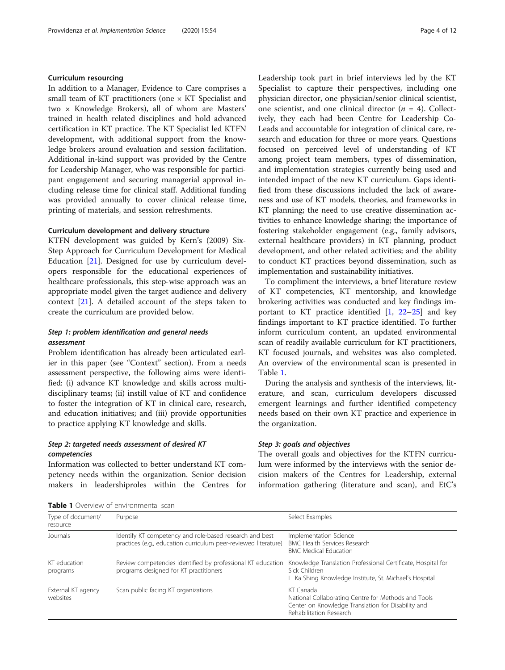# Curriculum resourcing

In addition to a Manager, Evidence to Care comprises a small team of KT practitioners (one × KT Specialist and two × Knowledge Brokers), all of whom are Masters' trained in health related disciplines and hold advanced certification in KT practice. The KT Specialist led KTFN development, with additional support from the knowledge brokers around evaluation and session facilitation. Additional in-kind support was provided by the Centre for Leadership Manager, who was responsible for participant engagement and securing managerial approval including release time for clinical staff. Additional funding was provided annually to cover clinical release time, printing of materials, and session refreshments.

# Curriculum development and delivery structure

KTFN development was guided by Kern's (2009) Six-Step Approach for Curriculum Development for Medical Education [[21](#page-11-0)]. Designed for use by curriculum developers responsible for the educational experiences of healthcare professionals, this step-wise approach was an appropriate model given the target audience and delivery context [[21\]](#page-11-0). A detailed account of the steps taken to create the curriculum are provided below.

# Step 1: problem identification and general needs assessment

Problem identification has already been articulated earlier in this paper (see "Context" section). From a needs assessment perspective, the following aims were identified: (i) advance KT knowledge and skills across multidisciplinary teams; (ii) instill value of KT and confidence to foster the integration of KT in clinical care, research, and education initiatives; and (iii) provide opportunities to practice applying KT knowledge and skills.

# Step 2: targeted needs assessment of desired KT competencies

Information was collected to better understand KT competency needs within the organization. Senior decision makers in leadershiproles within the Centres for

| Page 4 of 12 |  |
|--------------|--|
|--------------|--|

Leadership took part in brief interviews led by the KT Specialist to capture their perspectives, including one physician director, one physician/senior clinical scientist, one scientist, and one clinical director  $(n = 4)$ . Collectively, they each had been Centre for Leadership Co-Leads and accountable for integration of clinical care, research and education for three or more years. Questions focused on perceived level of understanding of KT among project team members, types of dissemination, and implementation strategies currently being used and intended impact of the new KT curriculum. Gaps identified from these discussions included the lack of awareness and use of KT models, theories, and frameworks in KT planning; the need to use creative dissemination activities to enhance knowledge sharing; the importance of fostering stakeholder engagement (e.g., family advisors, external healthcare providers) in KT planning, product development, and other related activities; and the ability to conduct KT practices beyond dissemination, such as implementation and sustainability initiatives.

To compliment the interviews, a brief literature review of KT competencies, KT mentorship, and knowledge brokering activities was conducted and key findings important to KT practice identified  $[1, 22-25]$  $[1, 22-25]$  $[1, 22-25]$  $[1, 22-25]$  $[1, 22-25]$  $[1, 22-25]$  and key findings important to KT practice identified. To further inform curriculum content, an updated environmental scan of readily available curriculum for KT practitioners, KT focused journals, and websites was also completed. An overview of the environmental scan is presented in Table 1.

During the analysis and synthesis of the interviews, literature, and scan, curriculum developers discussed emergent learnings and further identified competency needs based on their own KT practice and experience in the organization.

#### Step 3: goals and objectives

The overall goals and objectives for the KTFN curriculum were informed by the interviews with the senior decision makers of the Centres for Leadership, external information gathering (literature and scan), and EtC's

| <b>Table 1</b> Overview of environmental scan |  |  |  |  |  |  |  |
|-----------------------------------------------|--|--|--|--|--|--|--|
|-----------------------------------------------|--|--|--|--|--|--|--|

| Type of document/<br>resource  | Purpose                                                                                                                    | Select Examples                                                                                                                                   |
|--------------------------------|----------------------------------------------------------------------------------------------------------------------------|---------------------------------------------------------------------------------------------------------------------------------------------------|
| Journals                       | Identify KT competency and role-based research and best<br>practices (e.g., education curriculum peer-reviewed literature) | Implementation Science<br><b>BMC Health Services Research</b><br><b>BMC Medical Education</b>                                                     |
| KT education<br>programs       | Review competencies identified by professional KT education<br>programs designed for KT practitioners                      | Knowledge Translation Professional Certificate, Hospital for<br>Sick Children<br>Li Ka Shing Knowledge Institute, St. Michael's Hospital          |
| External KT agency<br>websites | Scan public facing KT organizations                                                                                        | KT Canada<br>National Collaborating Centre for Methods and Tools<br>Center on Knowledge Translation for Disability and<br>Rehabilitation Research |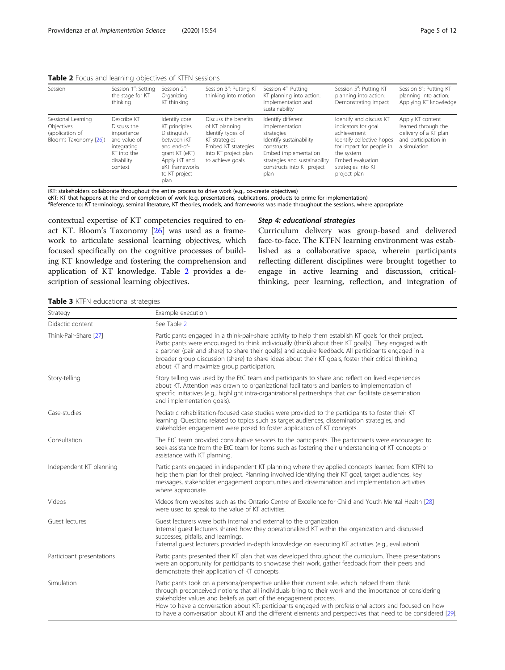<span id="page-4-0"></span>

| Session                                                                       | Session 1 <sup>a</sup> : Setting<br>the stage for KT<br>thinking                                                | Session $2^a$ :<br>Organizing<br>KT thinking                                                                                                              | Session 3 <sup>a</sup> : Putting KT<br>thinking into motion                                                                                     | Session 4 <sup>a</sup> : Putting<br>KT planning into action:<br>implementation and<br>sustainability                                                                                       | Session 5 <sup>a</sup> : Putting KT<br>planning into action:<br>Demonstrating impact                                                                                                           | Session 6 <sup>a</sup> : Putting KT<br>planning into action:<br>Applying KT knowledge                    |
|-------------------------------------------------------------------------------|-----------------------------------------------------------------------------------------------------------------|-----------------------------------------------------------------------------------------------------------------------------------------------------------|-------------------------------------------------------------------------------------------------------------------------------------------------|--------------------------------------------------------------------------------------------------------------------------------------------------------------------------------------------|------------------------------------------------------------------------------------------------------------------------------------------------------------------------------------------------|----------------------------------------------------------------------------------------------------------|
| Sessional Learning<br>Objectives<br>(application of<br>Bloom's Taxonomy [26]) | Describe KT<br>Discuss the<br>importance<br>and value of<br>integrating<br>KT into the<br>disability<br>context | Identify core<br>KT principles<br>Distinguish<br>between iKT<br>and end-of-<br>grant KT (eKT)<br>Apply iKT and<br>eKT frameworks<br>to KT project<br>plan | Discuss the benefits<br>of KT planning<br>Identify types of<br>KT strategies<br>Embed KT strategies<br>into KT project plan<br>to achieve goals | Identify different<br>implementation<br>strategies<br>Identify sustainability<br>constructs<br>Embed implementation<br>strategies and sustainability<br>constructs into KT project<br>plan | Identify and discuss KT<br>indicators for goal<br>achievement<br>Identify collective hopes<br>for impact for people in<br>the system<br>Embed evaluation<br>strategies into KT<br>project plan | Apply KT content<br>learned through the<br>delivery of a KT plan<br>and participation in<br>a simulation |

iKT: stakeholders collaborate throughout the entire process to drive work (e.g., co-create objectives)

eKT: KT that happens at the end or completion of work (e.g. presentations, publications, products to prime for implementation) <sup>a</sup>Reference to: KT terminology, seminal literature, KT theories, models, and frameworks was made throughout the sessions, where appropriate

contextual expertise of KT competencies required to enact KT. Bloom's Taxonomy [[26](#page-11-0)] was used as a framework to articulate sessional learning objectives, which focused specifically on the cognitive processes of building KT knowledge and fostering the comprehension and application of KT knowledge. Table 2 provides a description of sessional learning objectives.

# Step 4: educational strategies

Curriculum delivery was group-based and delivered face-to-face. The KTFN learning environment was established as a collaborative space, wherein participants reflecting different disciplines were brought together to engage in active learning and discussion, criticalthinking, peer learning, reflection, and integration of

|  |  |  | Table 3 KTFN educational strategies |  |
|--|--|--|-------------------------------------|--|
|--|--|--|-------------------------------------|--|

| Strategy                  | Example execution                                                                                                                                                                                                                                                                                                                                                                                                                                                                                     |
|---------------------------|-------------------------------------------------------------------------------------------------------------------------------------------------------------------------------------------------------------------------------------------------------------------------------------------------------------------------------------------------------------------------------------------------------------------------------------------------------------------------------------------------------|
| Didactic content          | See Table 2                                                                                                                                                                                                                                                                                                                                                                                                                                                                                           |
| Think-Pair-Share [27]     | Participants engaged in a think-pair-share activity to help them establish KT goals for their project.<br>Participants were encouraged to think individually (think) about their KT goal(s). They engaged with<br>a partner (pair and share) to share their goal(s) and acquire feedback. All participants engaged in a<br>broader group discussion (share) to share ideas about their KT goals, foster their critical thinking<br>about KT and maximize group participation.                         |
| Story-telling             | Story telling was used by the EtC team and participants to share and reflect on lived experiences<br>about KT. Attention was drawn to organizational facilitators and barriers to implementation of<br>specific initiatives (e.g., highlight intra-organizational partnerships that can facilitate dissemination<br>and implementation goals).                                                                                                                                                        |
| Case-studies              | Pediatric rehabilitation-focused case studies were provided to the participants to foster their KT<br>learning. Questions related to topics such as target audiences, dissemination strategies, and<br>stakeholder engagement were posed to foster application of KT concepts.                                                                                                                                                                                                                        |
| Consultation              | The EtC team provided consultative services to the participants. The participants were encouraged to<br>seek assistance from the EtC team for items such as fostering their understanding of KT concepts or<br>assistance with KT planning.                                                                                                                                                                                                                                                           |
| Independent KT planning   | Participants engaged in independent KT planning where they applied concepts learned from KTFN to<br>help them plan for their project. Planning involved identifying their KT goal, target audiences, key<br>messages, stakeholder engagement opportunities and dissemination and implementation activities<br>where appropriate.                                                                                                                                                                      |
| Videos                    | Videos from websites such as the Ontario Centre of Excellence for Child and Youth Mental Health [28]<br>were used to speak to the value of KT activities.                                                                                                                                                                                                                                                                                                                                             |
| Guest lectures            | Guest lecturers were both internal and external to the organization.<br>Internal quest lecturers shared how they operationalized KT within the organization and discussed<br>successes, pitfalls, and learnings.<br>External quest lecturers provided in-depth knowledge on executing KT activities (e.g., evaluation).                                                                                                                                                                               |
| Participant presentations | Participants presented their KT plan that was developed throughout the curriculum. These presentations<br>were an opportunity for participants to showcase their work, gather feedback from their peers and<br>demonstrate their application of KT concepts.                                                                                                                                                                                                                                          |
| Simulation                | Participants took on a persona/perspective unlike their current role, which helped them think<br>through preconceived notions that all individuals bring to their work and the importance of considering<br>stakeholder values and beliefs as part of the engagement process.<br>How to have a conversation about KT: participants engaged with professional actors and focused on how<br>to have a conversation about KT and the different elements and perspectives that need to be considered [29] |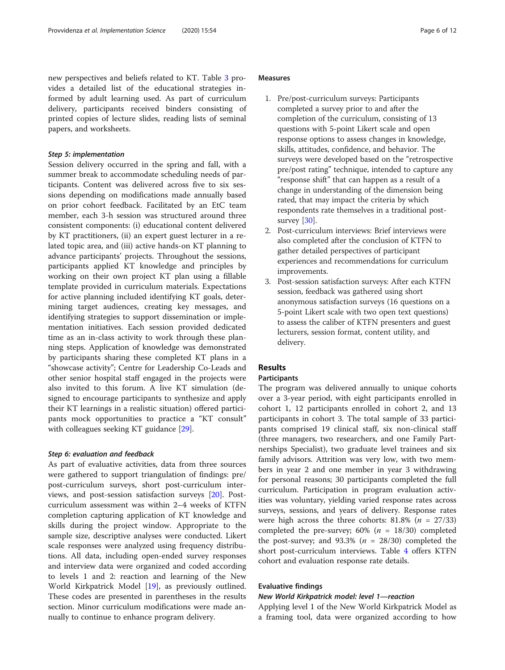new perspectives and beliefs related to KT. Table [3](#page-4-0) provides a detailed list of the educational strategies informed by adult learning used. As part of curriculum delivery, participants received binders consisting of printed copies of lecture slides, reading lists of seminal papers, and worksheets.

#### Step 5: implementation

Session delivery occurred in the spring and fall, with a summer break to accommodate scheduling needs of participants. Content was delivered across five to six sessions depending on modifications made annually based on prior cohort feedback. Facilitated by an EtC team member, each 3-h session was structured around three consistent components: (i) educational content delivered by KT practitioners, (ii) an expert guest lecturer in a related topic area, and (iii) active hands-on KT planning to advance participants' projects. Throughout the sessions, participants applied KT knowledge and principles by working on their own project KT plan using a fillable template provided in curriculum materials. Expectations for active planning included identifying KT goals, determining target audiences, creating key messages, and identifying strategies to support dissemination or implementation initiatives. Each session provided dedicated time as an in-class activity to work through these planning steps. Application of knowledge was demonstrated by participants sharing these completed KT plans in a "showcase activity"; Centre for Leadership Co-Leads and other senior hospital staff engaged in the projects were also invited to this forum. A live KT simulation (designed to encourage participants to synthesize and apply their KT learnings in a realistic situation) offered participants mock opportunities to practice a "KT consult" with colleagues seeking KT guidance [[29\]](#page-11-0).

# Step 6: evaluation and feedback

As part of evaluative activities, data from three sources were gathered to support triangulation of findings: pre/ post-curriculum surveys, short post-curriculum interviews, and post-session satisfaction surveys [\[20](#page-11-0)]. Postcurriculum assessment was within 2–4 weeks of KTFN completion capturing application of KT knowledge and skills during the project window. Appropriate to the sample size, descriptive analyses were conducted. Likert scale responses were analyzed using frequency distributions. All data, including open-ended survey responses and interview data were organized and coded according to levels 1 and 2: reaction and learning of the New World Kirkpatrick Model [\[19](#page-11-0)], as previously outlined. These codes are presented in parentheses in the results section. Minor curriculum modifications were made annually to continue to enhance program delivery.

# Measures

- 1. Pre/post-curriculum surveys: Participants completed a survey prior to and after the completion of the curriculum, consisting of 13 questions with 5-point Likert scale and open response options to assess changes in knowledge, skills, attitudes, confidence, and behavior. The surveys were developed based on the "retrospective pre/post rating" technique, intended to capture any "response shift" that can happen as a result of a change in understanding of the dimension being rated, that may impact the criteria by which respondents rate themselves in a traditional post-survey [\[30\]](#page-11-0).
- 2. Post-curriculum interviews: Brief interviews were also completed after the conclusion of KTFN to gather detailed perspectives of participant experiences and recommendations for curriculum improvements.
- 3. Post-session satisfaction surveys: After each KTFN session, feedback was gathered using short anonymous satisfaction surveys (16 questions on a 5-point Likert scale with two open text questions) to assess the caliber of KTFN presenters and guest lecturers, session format, content utility, and delivery.

# Results

# Participants

The program was delivered annually to unique cohorts over a 3-year period, with eight participants enrolled in cohort 1, 12 participants enrolled in cohort 2, and 13 participants in cohort 3. The total sample of 33 participants comprised 19 clinical staff, six non-clinical staff (three managers, two researchers, and one Family Partnerships Specialist), two graduate level trainees and six family advisors. Attrition was very low, with two members in year 2 and one member in year 3 withdrawing for personal reasons; 30 participants completed the full curriculum. Participation in program evaluation activities was voluntary, yielding varied response rates across surveys, sessions, and years of delivery. Response rates were high across the three cohorts:  $81.8\%$  ( $n = 27/33$ ) completed the pre-survey; 60% ( $n = 18/30$ ) completed the post-survey; and 93.3% ( $n = 28/30$ ) completed the short post-curriculum interviews. Table [4](#page-6-0) offers KTFN cohort and evaluation response rate details.

#### Evaluative findings

# New World Kirkpatrick model: level 1—reaction

Applying level 1 of the New World Kirkpatrick Model as a framing tool, data were organized according to how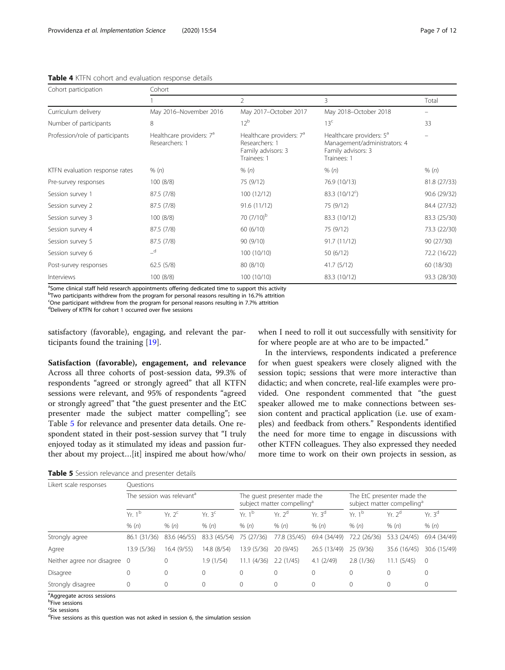# <span id="page-6-0"></span>Table 4 KTFN cohort and evaluation response details

| Cohort participation            | Cohort                                                 |                                                                                             |                                                                                                           |              |  |  |  |
|---------------------------------|--------------------------------------------------------|---------------------------------------------------------------------------------------------|-----------------------------------------------------------------------------------------------------------|--------------|--|--|--|
|                                 |                                                        | $\overline{2}$                                                                              | 3                                                                                                         | Total        |  |  |  |
| Curriculum delivery             | May 2016-November 2016                                 | May 2017-October 2017                                                                       | May 2018-October 2018                                                                                     |              |  |  |  |
| Number of participants          | 8                                                      | 12 <sup>b</sup>                                                                             | 13 <sup>c</sup>                                                                                           | 33           |  |  |  |
| Profession/role of participants | Healthcare providers: 7 <sup>a</sup><br>Researchers: 1 | Healthcare providers: 7 <sup>a</sup><br>Researchers: 1<br>Family advisors: 3<br>Trainees: 1 | Healthcare providers: 5 <sup>a</sup><br>Management/administrators: 4<br>Family advisors: 3<br>Trainees: 1 |              |  |  |  |
| KTFN evaluation response rates  | % (n)                                                  | % (n)                                                                                       | % (n)                                                                                                     | % (n)        |  |  |  |
| Pre-survey responses            | 100(8/8)                                               | 75 (9/12)                                                                                   | 76.9 (10/13)                                                                                              | 81.8 (27/33) |  |  |  |
| Session survey 1                | 87.5 (7/8)                                             | 100 (12/12)                                                                                 | 83.3 (10/12 <sup>c</sup> )                                                                                | 90.6 (29/32) |  |  |  |
| Session survey 2                | 87.5 (7/8)                                             | 91.6(11/12)                                                                                 | 75 (9/12)                                                                                                 | 84.4 (27/32) |  |  |  |
| Session survey 3                | 100(8/8)                                               | 70 $(7/10)^b$                                                                               | 83.3 (10/12)                                                                                              | 83.3 (25/30) |  |  |  |
| Session survey 4                | 87.5 (7/8)                                             | 60 (6/10)                                                                                   | 75 (9/12)                                                                                                 | 73.3 (22/30) |  |  |  |
| Session survey 5                | 87.5 (7/8)                                             | 90(9/10)                                                                                    | 91.7(11/12)                                                                                               | 90 (27/30)   |  |  |  |
| Session survey 6                | $-$ d                                                  | 100 (10/10)                                                                                 | 50(6/12)                                                                                                  | 72.2 (16/22) |  |  |  |
| Post-survey responses           | 62.5(5/8)                                              | 80 (8/10)                                                                                   | 41.7(5/12)                                                                                                | 60 (18/30)   |  |  |  |
| Interviews                      | 100(8/8)                                               | 100 (10/10)                                                                                 | 83.3 (10/12)                                                                                              | 93.3 (28/30) |  |  |  |

<sup>a</sup>Some clinical staff held research appointments offering dedicated time to support this activity

<sup>b</sup>Two participants withdrew from the program for personal reasons resulting in 16.7% attrition

<sup>c</sup>One participant withdrew from the program for personal reasons resulting in 7.7% attrition

dDelivery of KTFN for cohort 1 occurred over five sessions

satisfactory (favorable), engaging, and relevant the participants found the training [[19\]](#page-11-0).

Satisfaction (favorable), engagement, and relevance Across all three cohorts of post-session data, 99.3% of respondents "agreed or strongly agreed" that all KTFN sessions were relevant, and 95% of respondents "agreed or strongly agreed" that "the guest presenter and the EtC presenter made the subject matter compelling"; see Table 5 for relevance and presenter data details. One respondent stated in their post-session survey that "I truly enjoyed today as it stimulated my ideas and passion further about my project…[it] inspired me about how/who/

when I need to roll it out successfully with sensitivity for for where people are at who are to be impacted."

In the interviews, respondents indicated a preference for when guest speakers were closely aligned with the session topic; sessions that were more interactive than didactic; and when concrete, real-life examples were provided. One respondent commented that "the guest speaker allowed me to make connections between session content and practical application (i.e. use of examples) and feedback from others." Respondents identified the need for more time to engage in discussions with other KTFN colleagues. They also expressed they needed more time to work on their own projects in session, as

Table 5 Session relevance and presenter details

| Likert scale responses       | <b>Ouestions</b>                      |                    |                            |                                                                        |                             |                            |                                                                      |                             |                            |
|------------------------------|---------------------------------------|--------------------|----------------------------|------------------------------------------------------------------------|-----------------------------|----------------------------|----------------------------------------------------------------------|-----------------------------|----------------------------|
|                              | The session was relevant <sup>d</sup> |                    |                            | The quest presenter made the<br>subject matter compelling <sup>ª</sup> |                             |                            | The EtC presenter made the<br>subject matter compelling <sup>ª</sup> |                             |                            |
|                              | Yr. $1b$<br>% (n)                     | $Yr. 2^c$<br>% (n) | Yr.3 <sup>c</sup><br>% (n) | $Yr$ 1 <sup>b</sup><br>% (n)                                           | Yr. 2 <sup>d</sup><br>% (n) | Yr.3 <sup>d</sup><br>% (n) | Yr. $1b$<br>% (n)                                                    | Yr. 2 <sup>d</sup><br>% (n) | Yr.3 <sup>d</sup><br>% (n) |
|                              |                                       |                    |                            |                                                                        |                             |                            |                                                                      |                             |                            |
| Strongly agree               | 86.1 (31/36)                          | 83.6 (46/55)       | 83.3 (45/54)               | 75 (27/36)                                                             | 77.8 (35/45)                | 69.4 (34/49)               | 72.2 (26/36)                                                         | 53.3 (24/45)                | 69.4 (34/49)               |
| Agree                        | 13.9 (5/36)                           | 16.4 (9/55)        | 14.8 (8/54)                | 13.9 (5/36)                                                            | 20(9/45)                    | 26.5 (13/49)               | 25(9/36)                                                             | 35.6 (16/45)                | 30.6 (15/49)               |
| Neither agree nor disagree 0 |                                       | 0                  | 1.9 (1/54)                 | 11.1(4/36)                                                             | 2.2(1/45)                   | 4.1(2/49)                  | 2.8(1/36)                                                            | 11.1(5/45)                  | $\mathbf 0$                |
| Disagree                     | 0                                     | $\Omega$           | $\mathbf{0}$               | $\Omega$                                                               | $\Omega$                    | 0                          |                                                                      | $\mathbf 0$                 | $\Omega$                   |
| Strongly disagree            | $\mathbf{0}$                          | $\Omega$           | $\mathbf{0}$               | $\Omega$                                                               | $\Omega$                    | 0                          |                                                                      | $\mathbf{0}$                | $\Omega$                   |

<sup>a</sup>Aggregate across sessions

b Five sessions

<sup>c</sup>Six sessions

<sup>d</sup>Five sessions as this question was not asked in session 6, the simulation session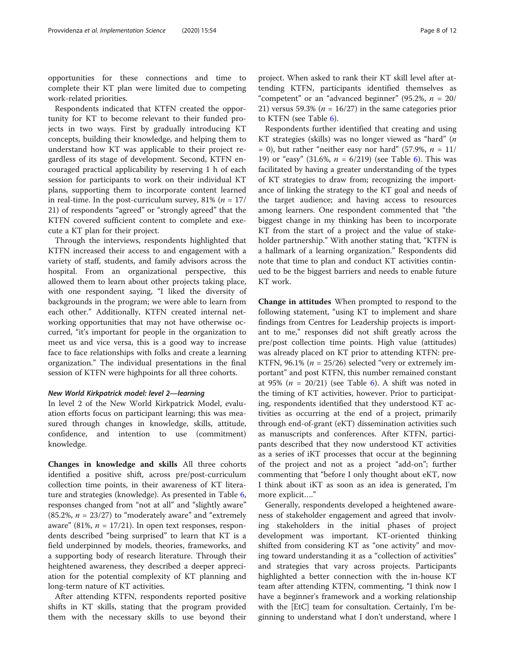opportunities for these connections and time to complete their KT plan were limited due to competing work-related priorities.

Respondents indicated that KTFN created the opportunity for KT to become relevant to their funded projects in two ways. First by gradually introducing KT concepts, building their knowledge, and helping them to understand how KT was applicable to their project regardless of its stage of development. Second, KTFN encouraged practical applicability by reserving 1 h of each session for participants to work on their individual KT plans, supporting them to incorporate content learned in real-time. In the post-curriculum survey,  $81\%$  ( $n = 17/$ 21) of respondents "agreed" or "strongly agreed" that the KTFN covered sufficient content to complete and execute a KT plan for their project.

Through the interviews, respondents highlighted that KTFN increased their access to and engagement with a variety of staff, students, and family advisors across the hospital. From an organizational perspective, this allowed them to learn about other projects taking place, with one respondent saying, "I liked the diversity of backgrounds in the program; we were able to learn from each other." Additionally, KTFN created internal networking opportunities that may not have otherwise occurred, "it's important for people in the organization to meet us and vice versa, this is a good way to increase face to face relationships with folks and create a learning organization." The individual presentations in the final session of KTFN were highpoints for all three cohorts.

#### New World Kirkpatrick model: level 2—learning

In level 2 of the New World Kirkpatrick Model, evaluation efforts focus on participant learning; this was measured through changes in knowledge, skills, attitude, confidence, and intention to use (commitment) knowledge.

Changes in knowledge and skills All three cohorts identified a positive shift, across pre/post-curriculum collection time points, in their awareness of KT literature and strategies (knowledge). As presented in Table [6](#page-8-0), responses changed from "not at all" and "slightly aware"  $(85.2\%, n = 23/27)$  to "moderately aware" and "extremely aware" (81%,  $n = 17/21$ ). In open text responses, respondents described "being surprised" to learn that KT is a field underpinned by models, theories, frameworks, and a supporting body of research literature. Through their heightened awareness, they described a deeper appreciation for the potential complexity of KT planning and long-term nature of KT activities.

After attending KTFN, respondents reported positive shifts in KT skills, stating that the program provided them with the necessary skills to use beyond their

project. When asked to rank their KT skill level after attending KTFN, participants identified themselves as "competent" or an "advanced beginner" (95.2%,  $n = 20/$ 21) versus 59.3% ( $n = 16/27$ ) in the same categories prior to KTFN (see Table [6](#page-8-0)).

Respondents further identified that creating and using KT strategies (skills) was no longer viewed as "hard" (n  $= 0$ ), but rather "neither easy nor hard" (57.9%,  $n = 11/$ 19) or "easy" (31.6%,  $n = 6/219$ ) (see Table [6\)](#page-8-0). This was facilitated by having a greater understanding of the types of KT strategies to draw from; recognizing the importance of linking the strategy to the KT goal and needs of the target audience; and having access to resources among learners. One respondent commented that "the biggest change in my thinking has been to incorporate KT from the start of a project and the value of stakeholder partnership." With another stating that, "KTFN is a hallmark of a learning organization." Respondents did note that time to plan and conduct KT activities continued to be the biggest barriers and needs to enable future KT work.

Change in attitudes When prompted to respond to the following statement, "using KT to implement and share findings from Centres for Leadership projects is important to me," responses did not shift greatly across the pre/post collection time points. High value (attitudes) was already placed on KT prior to attending KTFN: pre-KTFN, 96.1% ( $n = 25/26$ ) selected "very or extremely important" and post KTFN, this number remained constant at 95% ( $n = 20/21$ ) (see Table [6\)](#page-8-0). A shift was noted in the timing of KT activities, however. Prior to participating, respondents identified that they understood KT activities as occurring at the end of a project, primarily through end-of-grant (eKT) dissemination activities such as manuscripts and conferences. After KTFN, participants described that they now understood KT activities as a series of iKT processes that occur at the beginning of the project and not as a project "add-on"; further commenting that "before I only thought about eKT, now I think about iKT as soon as an idea is generated, I'm more explicit…."

Generally, respondents developed a heightened awareness of stakeholder engagement and agreed that involving stakeholders in the initial phases of project development was important. KT-oriented thinking shifted from considering KT as "one activity" and moving toward understanding it as a "collection of activities" and strategies that vary across projects. Participants highlighted a better connection with the in-house KT team after attending KTFN, commenting, "I think now I have a beginner's framework and a working relationship with the [EtC] team for consultation. Certainly, I'm beginning to understand what I don't understand, where I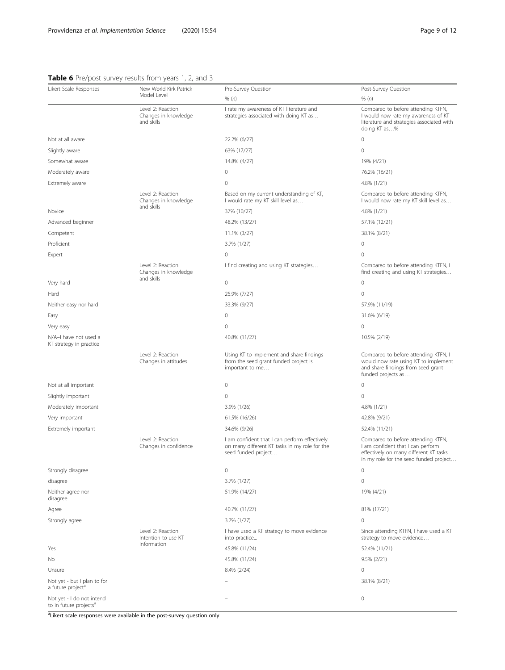# <span id="page-8-0"></span>Table 6 Pre/post survey results from years 1, 2, and 3

| Likert Scale Responses                                          | New World Kirk Patrick                                  | Pre-Survey Question                                                                                                   | Post-Survey Question                                                                                                                                        |
|-----------------------------------------------------------------|---------------------------------------------------------|-----------------------------------------------------------------------------------------------------------------------|-------------------------------------------------------------------------------------------------------------------------------------------------------------|
|                                                                 | Model Level                                             | % (n)                                                                                                                 | % (n)                                                                                                                                                       |
|                                                                 | Level 2: Reaction<br>Changes in knowledge<br>and skills | I rate my awareness of KT literature and<br>strategies associated with doing KT as                                    | Compared to before attending KTFN,<br>I would now rate my awareness of KT<br>literature and strategies associated with<br>doing KT as%                      |
| Not at all aware                                                |                                                         | 22.2% (6/27)                                                                                                          | $\mathbf 0$                                                                                                                                                 |
| Slightly aware                                                  |                                                         | 63% (17/27)                                                                                                           | $\mathbf 0$                                                                                                                                                 |
| Somewhat aware                                                  |                                                         | 14.8% (4/27)                                                                                                          | 19% (4/21)                                                                                                                                                  |
| Moderately aware                                                |                                                         | $\circ$                                                                                                               | 76.2% (16/21)                                                                                                                                               |
| Extremely aware                                                 |                                                         | $\Omega$                                                                                                              | 4.8% (1/21)                                                                                                                                                 |
|                                                                 | Level 2: Reaction<br>Changes in knowledge               | Based on my current understanding of KT,<br>I would rate my KT skill level as                                         | Compared to before attending KTFN,<br>I would now rate my KT skill level as                                                                                 |
| Novice                                                          | and skills                                              | 37% (10/27)                                                                                                           | 4.8% (1/21)                                                                                                                                                 |
| Advanced beginner                                               |                                                         | 48.2% (13/27)                                                                                                         | 57.1% (12/21)                                                                                                                                               |
| Competent                                                       |                                                         | 11.1% (3/27)                                                                                                          | 38.1% (8/21)                                                                                                                                                |
| Proficient                                                      |                                                         | 3.7% (1/27)                                                                                                           | 0                                                                                                                                                           |
| Expert                                                          |                                                         | $\mathbf 0$                                                                                                           | $\mathbf 0$                                                                                                                                                 |
|                                                                 | Level 2: Reaction<br>Changes in knowledge<br>and skills | I find creating and using KT strategies                                                                               | Compared to before attending KTFN, I<br>find creating and using KT strategies                                                                               |
| Very hard                                                       |                                                         | $\circ$                                                                                                               | $\circ$                                                                                                                                                     |
| Hard                                                            |                                                         | 25.9% (7/27)                                                                                                          | $\overline{0}$                                                                                                                                              |
| Neither easy nor hard                                           |                                                         | 33.3% (9/27)                                                                                                          | 57.9% (11/19)                                                                                                                                               |
| Easy                                                            |                                                         | $\circ$                                                                                                               | 31.6% (6/19)                                                                                                                                                |
| Very easy                                                       |                                                         | $\circ$                                                                                                               | $\mathbf 0$                                                                                                                                                 |
| N/A-I have not used a<br>KT strategy in practice                |                                                         | 40.8% (11/27)                                                                                                         | 10.5% (2/19)                                                                                                                                                |
|                                                                 | Level 2: Reaction<br>Changes in attitudes               | Using KT to implement and share findings<br>from the seed grant funded project is<br>important to me                  | Compared to before attending KTFN, I<br>would now rate using KT to implement<br>and share findings from seed grant<br>funded projects as                    |
| Not at all important                                            |                                                         | $\circ$                                                                                                               | $\mathbf 0$                                                                                                                                                 |
| Slightly important                                              |                                                         | $\mathbf{0}$                                                                                                          | $\overline{0}$                                                                                                                                              |
| Moderately important                                            |                                                         | 3.9% (1/26)                                                                                                           | 4.8% (1/21)                                                                                                                                                 |
| Very important                                                  |                                                         | 61.5% (16/26)                                                                                                         | 42.8% (9/21)                                                                                                                                                |
| Extremely important                                             |                                                         | 34.6% (9/26)                                                                                                          | 52.4% (11/21)                                                                                                                                               |
|                                                                 | Level 2: Reaction<br>Changes in confidence              | I am confident that I can perform effectively<br>on many different KT tasks in my role for the<br>seed funded project | Compared to before attending KTFN,<br>I am confident that I can perform<br>effectively on many different KT tasks<br>in my role for the seed funded project |
| Strongly disagree                                               |                                                         | $\mathbf 0$                                                                                                           | $\mathbf{0}$                                                                                                                                                |
| disagree                                                        |                                                         | 3.7% (1/27)                                                                                                           | $\mathbf 0$                                                                                                                                                 |
| Neither agree nor<br>disagree                                   |                                                         | 51.9% (14/27)                                                                                                         | 19% (4/21)                                                                                                                                                  |
| Agree                                                           |                                                         | 40.7% (11/27)                                                                                                         | 81% (17/21)                                                                                                                                                 |
| Strongly agree                                                  |                                                         | 3.7% (1/27)                                                                                                           | $\mathbf 0$                                                                                                                                                 |
|                                                                 | Level 2: Reaction<br>Intention to use KT<br>information | I have used a KT strategy to move evidence<br>into practice                                                           | Since attending KTFN, I have used a KT<br>strategy to move evidence                                                                                         |
| Yes                                                             |                                                         | 45.8% (11/24)                                                                                                         | 52.4% (11/21)                                                                                                                                               |
| No                                                              |                                                         | 45.8% (11/24)                                                                                                         | 9.5% (2/21)                                                                                                                                                 |
| Unsure                                                          |                                                         | 8.4% (2/24)                                                                                                           | $\mathbf 0$                                                                                                                                                 |
| Not yet - but I plan to for<br>a future project <sup>a</sup>    |                                                         |                                                                                                                       | 38.1% (8/21)                                                                                                                                                |
| Not yet - I do not intend<br>to in future projects <sup>a</sup> |                                                         |                                                                                                                       | $\circ$                                                                                                                                                     |

<sup>a</sup>Likert scale responses were available in the post-survey question only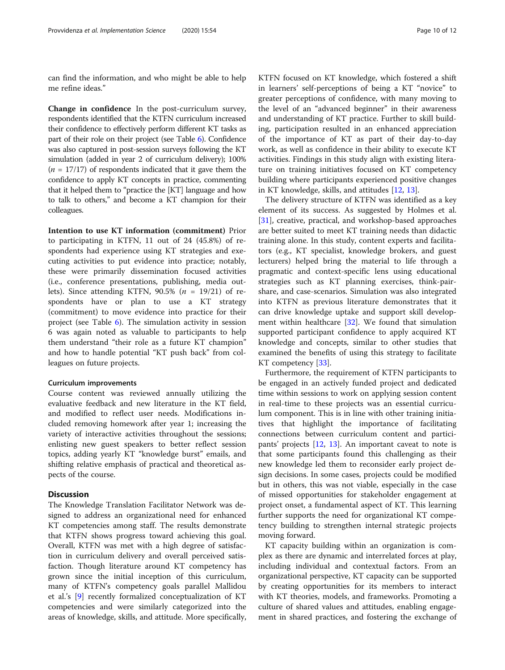can find the information, and who might be able to help me refine ideas."

Change in confidence In the post-curriculum survey, respondents identified that the KTFN curriculum increased their confidence to effectively perform different KT tasks as part of their role on their project (see Table [6\)](#page-8-0). Confidence was also captured in post-session surveys following the KT simulation (added in year 2 of curriculum delivery); 100%  $(n = 17/17)$  of respondents indicated that it gave them the confidence to apply KT concepts in practice, commenting that it helped them to "practice the [KT] language and how to talk to others," and become a KT champion for their colleagues.

Intention to use KT information (commitment) Prior to participating in KTFN, 11 out of 24 (45.8%) of respondents had experience using KT strategies and executing activities to put evidence into practice; notably, these were primarily dissemination focused activities (i.e., conference presentations, publishing, media outlets). Since attending KTFN,  $90.5\%$  ( $n = 19/21$ ) of respondents have or plan to use a KT strategy (commitment) to move evidence into practice for their project (see Table [6](#page-8-0)). The simulation activity in session 6 was again noted as valuable to participants to help them understand "their role as a future KT champion" and how to handle potential "KT push back" from colleagues on future projects.

#### Curriculum improvements

Course content was reviewed annually utilizing the evaluative feedback and new literature in the KT field, and modified to reflect user needs. Modifications included removing homework after year 1; increasing the variety of interactive activities throughout the sessions; enlisting new guest speakers to better reflect session topics, adding yearly KT "knowledge burst" emails, and shifting relative emphasis of practical and theoretical aspects of the course.

# **Discussion**

The Knowledge Translation Facilitator Network was designed to address an organizational need for enhanced KT competencies among staff. The results demonstrate that KTFN shows progress toward achieving this goal. Overall, KTFN was met with a high degree of satisfaction in curriculum delivery and overall perceived satisfaction. Though literature around KT competency has grown since the initial inception of this curriculum, many of KTFN's competency goals parallel Mallidou et al.'s [\[9](#page-11-0)] recently formalized conceptualization of KT competencies and were similarly categorized into the areas of knowledge, skills, and attitude. More specifically, KTFN focused on KT knowledge, which fostered a shift in learners' self-perceptions of being a KT "novice" to greater perceptions of confidence, with many moving to the level of an "advanced beginner" in their awareness and understanding of KT practice. Further to skill building, participation resulted in an enhanced appreciation of the importance of KT as part of their day-to-day work, as well as confidence in their ability to execute KT activities. Findings in this study align with existing literature on training initiatives focused on KT competency building where participants experienced positive changes in KT knowledge, skills, and attitudes [[12,](#page-11-0) [13\]](#page-11-0).

The delivery structure of KTFN was identified as a key element of its success. As suggested by Holmes et al. [[31\]](#page-11-0), creative, practical, and workshop-based approaches are better suited to meet KT training needs than didactic training alone. In this study, content experts and facilitators (e.g., KT specialist, knowledge brokers, and guest lecturers) helped bring the material to life through a pragmatic and context-specific lens using educational strategies such as KT planning exercises, think-pairshare, and case-scenarios. Simulation was also integrated into KTFN as previous literature demonstrates that it can drive knowledge uptake and support skill development within healthcare [\[32](#page-11-0)]. We found that simulation supported participant confidence to apply acquired KT knowledge and concepts, similar to other studies that examined the benefits of using this strategy to facilitate KT competency [[33\]](#page-11-0).

Furthermore, the requirement of KTFN participants to be engaged in an actively funded project and dedicated time within sessions to work on applying session content in real-time to these projects was an essential curriculum component. This is in line with other training initiatives that highlight the importance of facilitating connections between curriculum content and participants' projects [\[12,](#page-11-0) [13\]](#page-11-0). An important caveat to note is that some participants found this challenging as their new knowledge led them to reconsider early project design decisions. In some cases, projects could be modified but in others, this was not viable, especially in the case of missed opportunities for stakeholder engagement at project onset, a fundamental aspect of KT. This learning further supports the need for organizational KT competency building to strengthen internal strategic projects moving forward.

KT capacity building within an organization is complex as there are dynamic and interrelated forces at play, including individual and contextual factors. From an organizational perspective, KT capacity can be supported by creating opportunities for its members to interact with KT theories, models, and frameworks. Promoting a culture of shared values and attitudes, enabling engagement in shared practices, and fostering the exchange of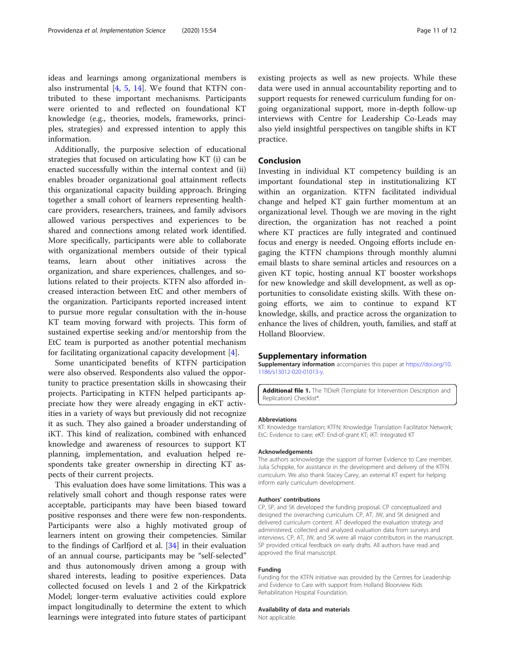<span id="page-10-0"></span>ideas and learnings among organizational members is also instrumental [[4](#page-11-0), [5](#page-11-0), [14](#page-11-0)]. We found that KTFN contributed to these important mechanisms. Participants were oriented to and reflected on foundational KT knowledge (e.g., theories, models, frameworks, principles, strategies) and expressed intention to apply this information.

Additionally, the purposive selection of educational strategies that focused on articulating how KT (i) can be enacted successfully within the internal context and (ii) enables broader organizational goal attainment reflects this organizational capacity building approach. Bringing together a small cohort of learners representing healthcare providers, researchers, trainees, and family advisors allowed various perspectives and experiences to be shared and connections among related work identified. More specifically, participants were able to collaborate with organizational members outside of their typical teams, learn about other initiatives across the organization, and share experiences, challenges, and solutions related to their projects. KTFN also afforded increased interaction between EtC and other members of the organization. Participants reported increased intent to pursue more regular consultation with the in-house KT team moving forward with projects. This form of sustained expertise seeking and/or mentorship from the EtC team is purported as another potential mechanism for facilitating organizational capacity development [\[4](#page-11-0)].

Some unanticipated benefits of KTFN participation were also observed. Respondents also valued the opportunity to practice presentation skills in showcasing their projects. Participating in KTFN helped participants appreciate how they were already engaging in eKT activities in a variety of ways but previously did not recognize it as such. They also gained a broader understanding of iKT. This kind of realization, combined with enhanced knowledge and awareness of resources to support KT planning, implementation, and evaluation helped respondents take greater ownership in directing KT aspects of their current projects.

This evaluation does have some limitations. This was a relatively small cohort and though response rates were acceptable, participants may have been biased toward positive responses and there were few non-respondents. Participants were also a highly motivated group of learners intent on growing their competencies. Similar to the findings of Carlfjord et al. [\[34](#page-11-0)] in their evaluation of an annual course, participants may be "self-selected" and thus autonomously driven among a group with shared interests, leading to positive experiences. Data collected focused on levels 1 and 2 of the Kirkpatrick Model; longer-term evaluative activities could explore impact longitudinally to determine the extent to which learnings were integrated into future states of participant

existing projects as well as new projects. While these data were used in annual accountability reporting and to support requests for renewed curriculum funding for ongoing organizational support, more in-depth follow-up interviews with Centre for Leadership Co-Leads may also yield insightful perspectives on tangible shifts in KT practice.

#### Conclusion

Investing in individual KT competency building is an important foundational step in institutionalizing KT within an organization. KTFN facilitated individual change and helped KT gain further momentum at an organizational level. Though we are moving in the right direction, the organization has not reached a point where KT practices are fully integrated and continued focus and energy is needed. Ongoing efforts include engaging the KTFN champions through monthly alumni email blasts to share seminal articles and resources on a given KT topic, hosting annual KT booster workshops for new knowledge and skill development, as well as opportunities to consolidate existing skills. With these ongoing efforts, we aim to continue to expand KT knowledge, skills, and practice across the organization to enhance the lives of children, youth, families, and staff at Holland Bloorview.

#### Supplementary information

Supplementary information accompanies this paper at [https://doi.org/10.](https://doi.org/10.1186/s13012-020-01013-y) [1186/s13012-020-01013-y](https://doi.org/10.1186/s13012-020-01013-y).

Additional file 1. The TIDieR (Template for Intervention Description and Replication) Checklist\*.

#### Abbreviations

KT: Knowledge translation; KTFN: Knowledge Translation Facilitator Network; EtC: Evidence to care; eKT: End-of-grant KT; iKT: Integrated KT

#### Acknowledgements

The authors acknowledge the support of former Evidence to Care member, Julia Schippke, for assistance in the development and delivery of the KTFN curriculum. We also thank Stacey Carey, an external KT expert for helping inform early curriculum development.

#### Authors' contributions

CP, SP, and SK developed the funding proposal. CP conceptualized and designed the overarching curriculum. CP, AT, JW, and SK designed and delivered curriculum content. AT developed the evaluation strategy and administered, collected and analyzed evaluation data from surveys and interviews. CP, AT, JW, and SK were all major contributors in the manuscript. SP provided critical feedback on early drafts. All authors have read and approved the final manuscript.

#### Funding

Funding for the KTFN initiative was provided by the Centres for Leadership and Evidence to Care with support from Holland Bloorview Kids Rehabilitation Hospital Foundation.

#### Availability of data and materials

Not applicable.